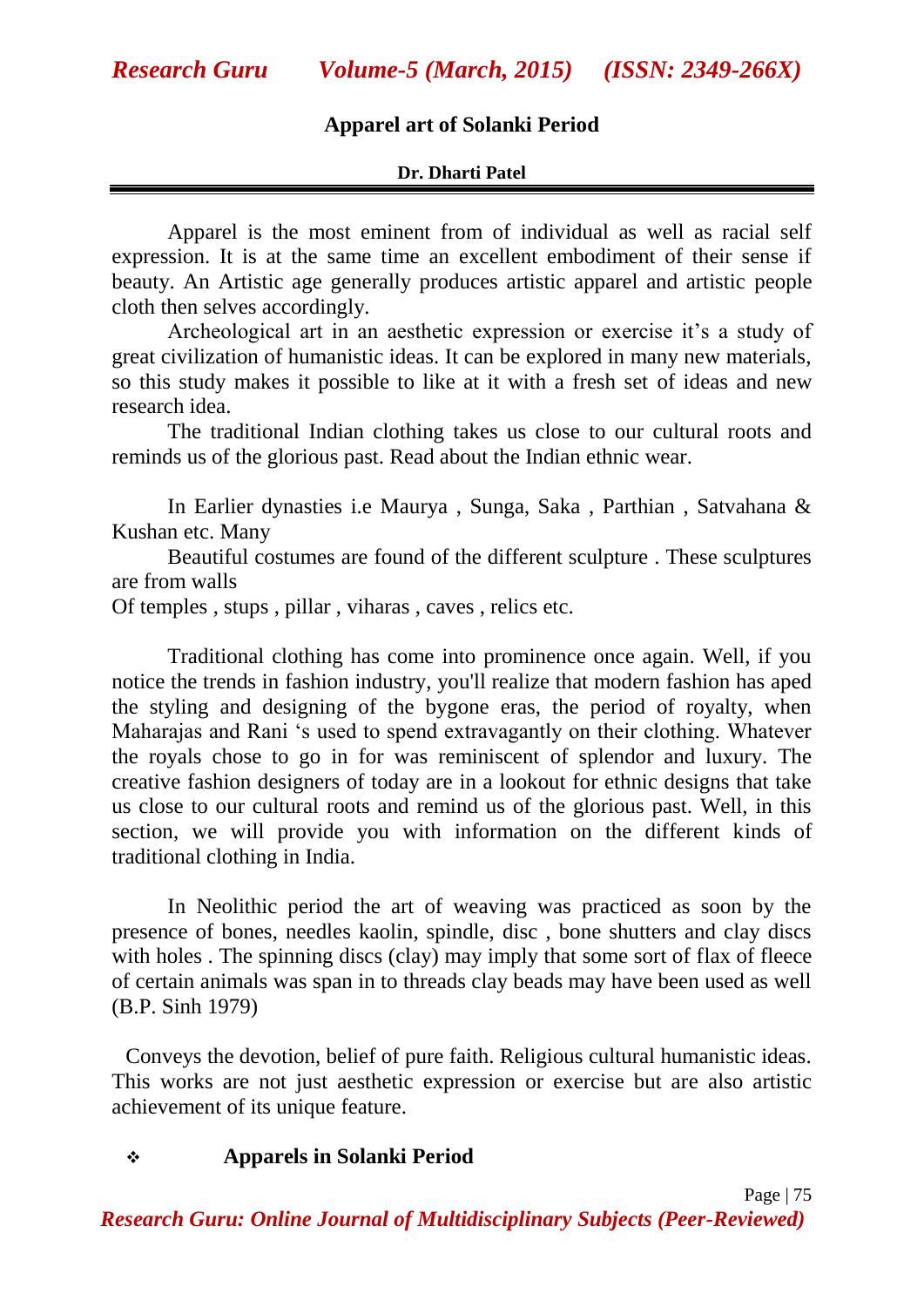## **Apparel art of Solanki Period**

#### **Dr. Dharti Patel**

Apparel is the most eminent from of individual as well as racial self expression. It is at the same time an excellent embodiment of their sense if beauty. An Artistic age generally produces artistic apparel and artistic people cloth then selves accordingly.

Archeological art in an aesthetic expression or exercise it's a study of great civilization of humanistic ideas. It can be explored in many new materials, so this study makes it possible to like at it with a fresh set of ideas and new research idea.

The traditional Indian clothing takes us close to our cultural roots and reminds us of the glorious past. Read about the Indian ethnic wear.

In Earlier dynasties i.e Maurya , Sunga, Saka , Parthian , Satvahana & Kushan etc. Many

Beautiful costumes are found of the different sculpture . These sculptures are from walls

Of temples , stups , pillar , viharas , caves , relics etc.

Traditional clothing has come into prominence once again. Well, if you notice the trends in fashion industry, you'll realize that modern fashion has aped the styling and designing of the bygone eras, the period of royalty, when Maharajas and Rani "s used to spend extravagantly on their clothing. Whatever the royals chose to go in for was reminiscent of splendor and luxury. The creative fashion designers of today are in a lookout for ethnic designs that take us close to our cultural roots and remind us of the glorious past. Well, in this section, we will provide you with information on the different kinds of traditional clothing in India.

In Neolithic period the art of weaving was practiced as soon by the presence of bones, needles kaolin, spindle, disc , bone shutters and clay discs with holes. The spinning discs (clay) may imply that some sort of flax of fleece of certain animals was span in to threads clay beads may have been used as well (B.P. Sinh 1979)

Conveys the devotion, belief of pure faith. Religious cultural humanistic ideas. This works are not just aesthetic expression or exercise but are also artistic achievement of its unique feature.

#### **Apparels in Solanki Period**

*Research Guru: Online Journal of Multidisciplinary Subjects (Peer-Reviewed)*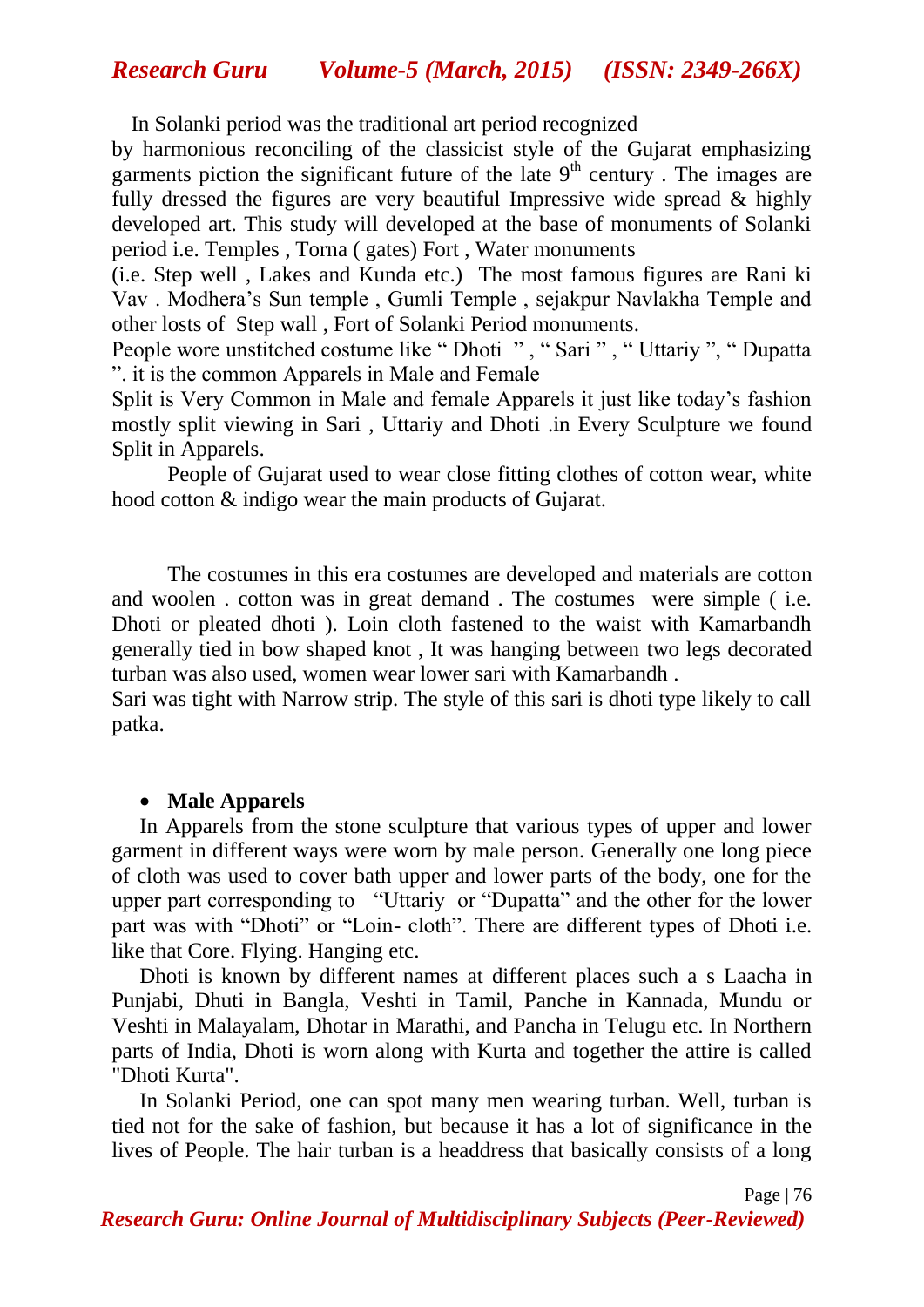In Solanki period was the traditional art period recognized

by harmonious reconciling of the classicist style of the Gujarat emphasizing garments piction the significant future of the late  $9<sup>th</sup>$  century. The images are fully dressed the figures are very beautiful Impressive wide spread  $\&$  highly developed art. This study will developed at the base of monuments of Solanki period i.e. Temples , Torna ( gates) Fort , Water monuments

(i.e. Step well , Lakes and Kunda etc.) The most famous figures are Rani ki Vav . Modhera"s Sun temple , Gumli Temple , sejakpur Navlakha Temple and other losts of Step wall , Fort of Solanki Period monuments.

People wore unstitched costume like " Dhoti " , " Sari " , " Uttariy ", " Dupatta ". it is the common Apparels in Male and Female

Split is Very Common in Male and female Apparels it just like today"s fashion mostly split viewing in Sari , Uttariy and Dhoti .in Every Sculpture we found Split in Apparels.

People of Gujarat used to wear close fitting clothes of cotton wear, white hood cotton & indigo wear the main products of Gujarat.

The costumes in this era costumes are developed and materials are cotton and woolen . cotton was in great demand . The costumes were simple ( i.e. Dhoti or pleated dhoti ). Loin cloth fastened to the waist with Kamarbandh generally tied in bow shaped knot , It was hanging between two legs decorated turban was also used, women wear lower sari with Kamarbandh .

Sari was tight with Narrow strip. The style of this sari is dhoti type likely to call patka.

#### **Male Apparels**

In Apparels from the stone sculpture that various types of upper and lower garment in different ways were worn by male person. Generally one long piece of cloth was used to cover bath upper and lower parts of the body, one for the upper part corresponding to "Uttariy or "Dupatta" and the other for the lower part was with "Dhoti" or "Loin- cloth". There are different types of Dhoti i.e. like that Core. Flying. Hanging etc.

Dhoti is known by different names at different places such a s Laacha in Punjabi, Dhuti in Bangla, Veshti in Tamil, Panche in Kannada, Mundu or Veshti in Malayalam, Dhotar in Marathi, and Pancha in Telugu etc. In Northern parts of India, Dhoti is worn along with Kurta and together the attire is called "Dhoti Kurta".

In Solanki Period, one can spot many men wearing turban. Well, turban is tied not for the sake of fashion, but because it has a lot of significance in the lives of People. The hair turban is a headdress that basically consists of a long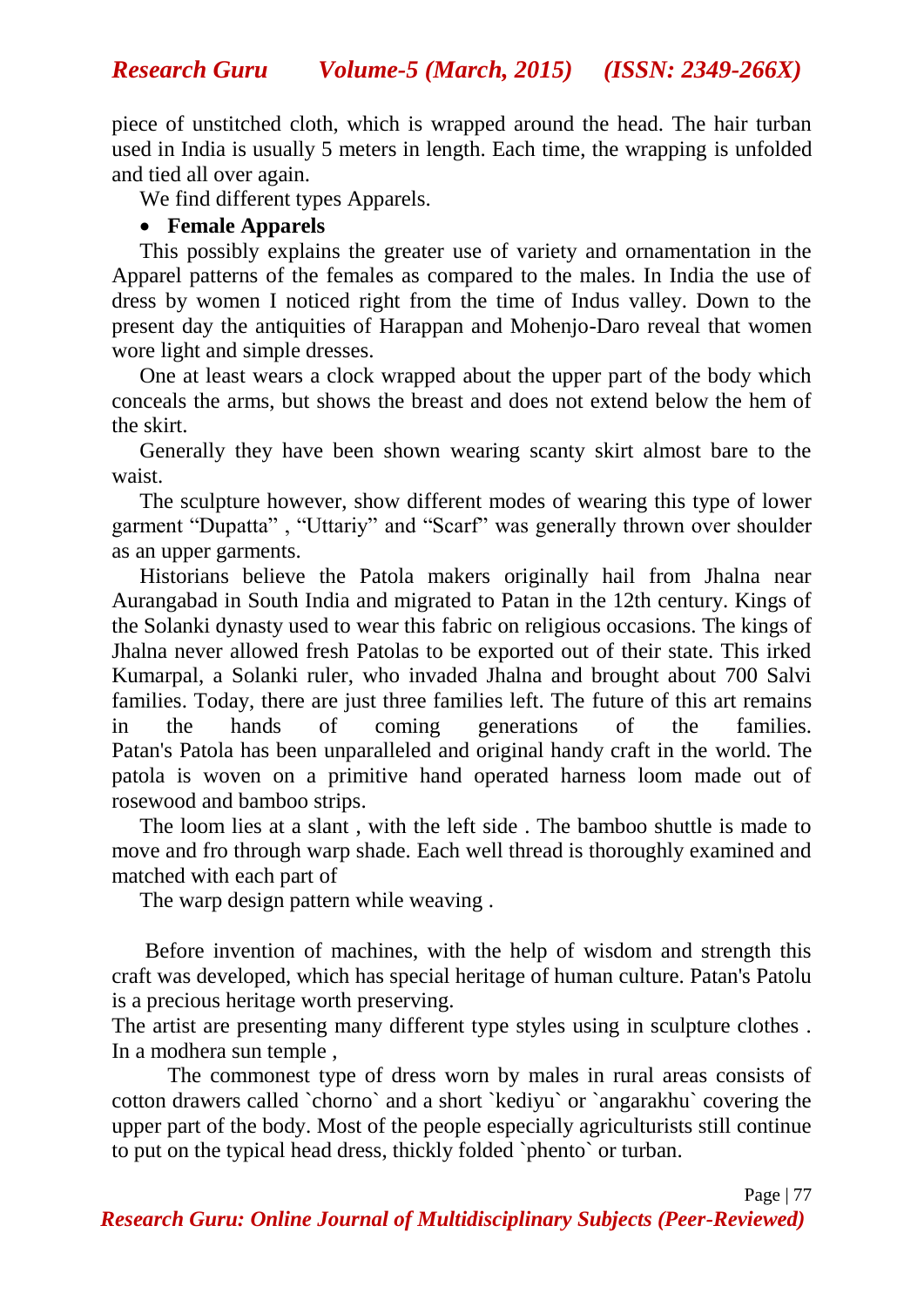*Research Guru Volume-5 (March, 2015) (ISSN: 2349-266X)*

piece of unstitched cloth, which is wrapped around the head. The hair turban used in India is usually 5 meters in length. Each time, the wrapping is unfolded and tied all over again.

We find different types Apparels.

### **Female Apparels**

This possibly explains the greater use of variety and ornamentation in the Apparel patterns of the females as compared to the males. In India the use of dress by women I noticed right from the time of Indus valley. Down to the present day the antiquities of Harappan and Mohenjo-Daro reveal that women wore light and simple dresses.

One at least wears a clock wrapped about the upper part of the body which conceals the arms, but shows the breast and does not extend below the hem of the skirt.

Generally they have been shown wearing scanty skirt almost bare to the waist.

The sculpture however, show different modes of wearing this type of lower garment "Dupatta" , "Uttariy" and "Scarf" was generally thrown over shoulder as an upper garments.

Historians believe the Patola makers originally hail from Jhalna near Aurangabad in South India and migrated to Patan in the 12th century. Kings of the Solanki dynasty used to wear this fabric on religious occasions. The kings of Jhalna never allowed fresh Patolas to be exported out of their state. This irked Kumarpal, a Solanki ruler, who invaded Jhalna and brought about 700 Salvi families. Today, there are just three families left. The future of this art remains in the hands of coming generations of the families. Patan's Patola has been unparalleled and original handy craft in the world. The patola is woven on a primitive hand operated harness loom made out of rosewood and bamboo strips.

The loom lies at a slant , with the left side . The bamboo shuttle is made to move and fro through warp shade. Each well thread is thoroughly examined and matched with each part of

The warp design pattern while weaving .

Before invention of machines, with the help of wisdom and strength this craft was developed, which has special heritage of human culture. Patan's Patolu is a precious heritage worth preserving.

The artist are presenting many different type styles using in sculpture clothes . In a modhera sun temple ,

The commonest type of dress worn by males in rural areas consists of cotton drawers called `chorno` and a short `kediyu` or `angarakhu` covering the upper part of the body. Most of the people especially agriculturists still continue to put on the typical head dress, thickly folded `phento` or turban.